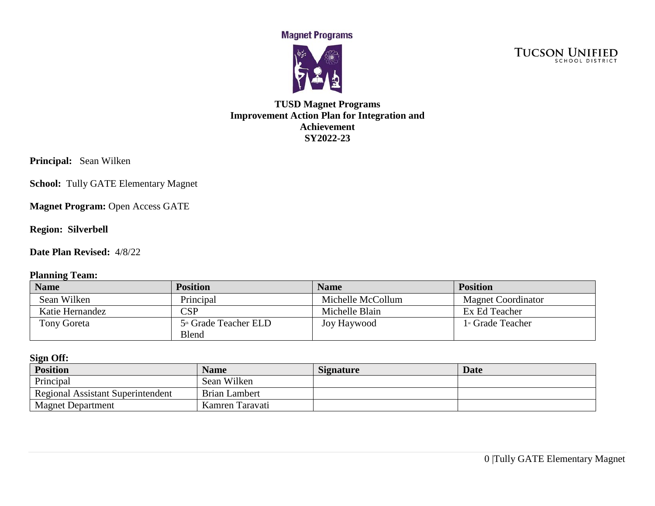**Magnet Programs** 



TUCSON UNIFIED

### **TUSD Magnet Programs Improvement Action Plan for Integration and Achievement SY2022-23**

**Principal:** Sean Wilken

**School:** Tully GATE Elementary Magnet

**Magnet Program: Open Access GATE** 

**Region: Silverbell** 

**Date Plan Revised:** 4/8/22

### **Planning Team:**

| <b>Name</b>        | <b>Position</b>                                   | <b>Name</b>       | <b>Position</b>                 |
|--------------------|---------------------------------------------------|-------------------|---------------------------------|
| Sean Wilken        | Principal                                         | Michelle McCollum | <b>Magnet Coordinator</b>       |
| Katie Hernandez    | $\mathbb{C}\mathrm{SP}$                           | Michelle Blain    | Ex Ed Teacher                   |
| <b>Tony Goreta</b> | 5 <sup>th</sup> Grade Teacher ELD<br><b>Blend</b> | Joy Haywood       | $1$ <sup>st</sup> Grade Teacher |

#### **Sign Off:**

| <b>Position</b>                          | <b>Name</b>          | <b>Signature</b> | <b>Date</b> |
|------------------------------------------|----------------------|------------------|-------------|
| Principal                                | Sean Wilken          |                  |             |
| <b>Regional Assistant Superintendent</b> | <b>Brian Lambert</b> |                  |             |
| <b>Magnet Department</b>                 | Kamren Taravati      |                  |             |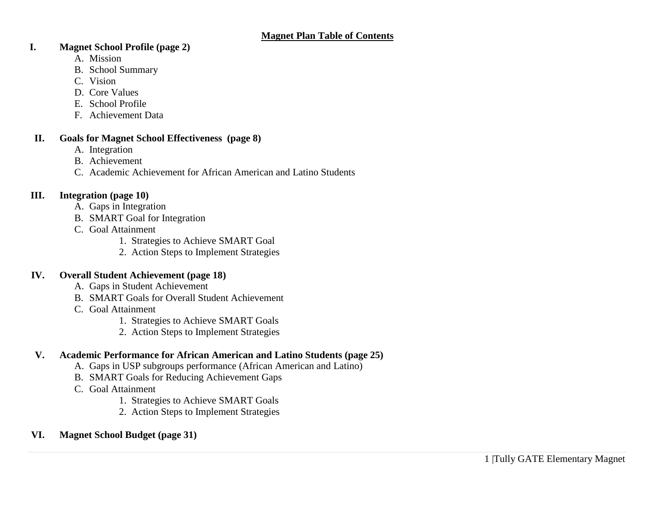### **I. Magnet School Profile (page 2)**

- A. Mission
- B. School Summary
- C. Vision
- D. Core Values
- E. School Profile
- F. Achievement Data

### **II. Goals for Magnet School Effectiveness (page 8)**

- A. Integration
- B. Achievement
- C. Academic Achievement for African American and Latino Students

### **III. Integration (page 10)**

- A. Gaps in Integration
- B. SMART Goal for Integration
- C. Goal Attainment
	- 1. Strategies to Achieve SMART Goal
	- 2. Action Steps to Implement Strategies

### **IV. Overall Student Achievement (page 18)**

- A. Gaps in Student Achievement
- B. SMART Goals for Overall Student Achievement
- C. Goal Attainment
	- 1. Strategies to Achieve SMART Goals
	- 2. Action Steps to Implement Strategies

# **V. Academic Performance for African American and Latino Students (page 25)**

- A. Gaps in USP subgroups performance (African American and Latino)
- B. SMART Goals for Reducing Achievement Gaps
- C. Goal Attainment
	- 1. Strategies to Achieve SMART Goals
	- 2. Action Steps to Implement Strategies

# **VI. Magnet School Budget (page 31)**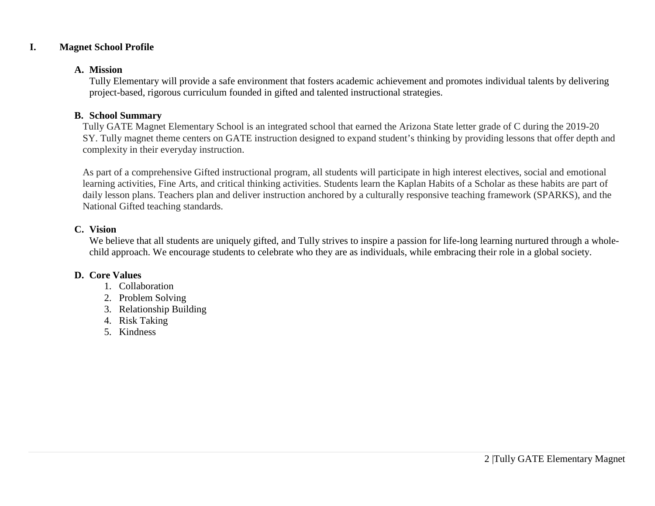### **I. Magnet School Profile**

#### **A. Mission**

Tully Elementary will provide a safe environment that fosters academic achievement and promotes individual talents by delivering project-based, rigorous curriculum founded in gifted and talented instructional strategies.

### **B. School Summary**

Tully GATE Magnet Elementary School is an integrated school that earned the Arizona State letter grade of C during the 2019-20 SY. Tully magnet theme centers on GATE instruction designed to expand student's thinking by providing lessons that offer depth and complexity in their everyday instruction.

As part of a comprehensive Gifted instructional program, all students will participate in high interest electives, social and emotional learning activities, Fine Arts, and critical thinking activities. Students learn the Kaplan Habits of a Scholar as these habits are part of daily lesson plans. Teachers plan and deliver instruction anchored by a culturally responsive teaching framework (SPARKS), and the National Gifted teaching standards.

### **C. Vision**

We believe that all students are uniquely gifted, and Tully strives to inspire a passion for life-long learning nurtured through a wholechild approach. We encourage students to celebrate who they are as individuals, while embracing their role in a global society.

### **D. Core Values**

- 1. Collaboration
- 2. Problem Solving
- 3. Relationship Building
- 4. Risk Taking
- 5. Kindness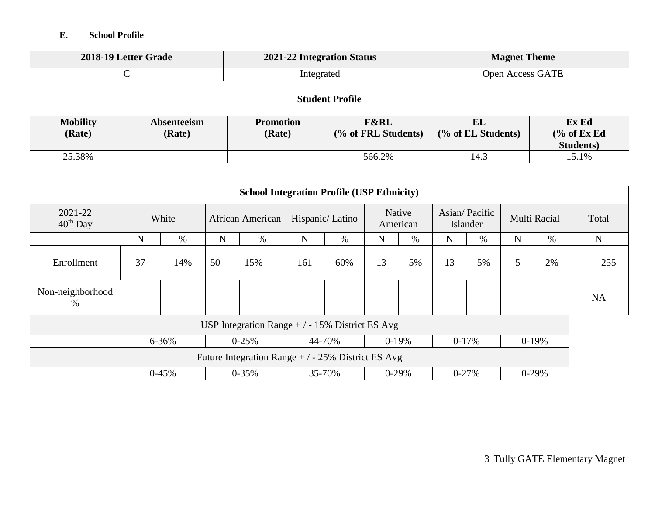### **E. School Profile**

| 2018-19 Letter Grade | <b>2021-22 Integration Status</b> | <b>Magnet Theme</b>     |
|----------------------|-----------------------------------|-------------------------|
|                      | Integrated                        | <b>Open Access GATE</b> |

| <b>Student Profile</b>    |                         |                            |                                        |                          |                                         |  |  |
|---------------------------|-------------------------|----------------------------|----------------------------------------|--------------------------|-----------------------------------------|--|--|
| <b>Mobility</b><br>(Rate) | Absenteeism<br>(Rate)   | <b>Promotion</b><br>(Rate) | <b>F&amp;RL</b><br>(% of FRL Students) | EL<br>(% of EL Students) | Ex Ed<br>% of ExEd<br><b>Students</b> ) |  |  |
| 25.38%                    | 566.2%<br>14.3<br>15.1% |                            |                                        |                          |                                         |  |  |

| <b>School Integration Profile (USP Ethnicity)</b>  |                                                 |                                                               |    |                  |             |                 |    |                    |           |                           |   |              |           |
|----------------------------------------------------|-------------------------------------------------|---------------------------------------------------------------|----|------------------|-------------|-----------------|----|--------------------|-----------|---------------------------|---|--------------|-----------|
| 2021-22<br>$40th$ Day                              |                                                 | White                                                         |    | African American |             | Hispanic/Latino |    | Native<br>American |           | Asian/Pacific<br>Islander |   | Multi Racial | Total     |
|                                                    | N                                               | %                                                             | N  | %                | $\mathbf N$ | $\%$            | N  | $\%$               | N         | $\%$                      | N | $\%$         | N         |
| Enrollment                                         | 37                                              | 14%                                                           | 50 | 15%              | 161         | 60%             | 13 | 5%                 | 13        | 5%                        | 5 | 2%           | 255       |
| Non-neighborhood<br>$\%$                           |                                                 |                                                               |    |                  |             |                 |    |                    |           |                           |   |              | <b>NA</b> |
|                                                    | USP Integration Range $+/-15\%$ District ES Avg |                                                               |    |                  |             |                 |    |                    |           |                           |   |              |           |
|                                                    |                                                 | 6-36%<br>44-70%<br>$0-19%$<br>$0-17%$<br>$0 - 25%$<br>$0-19%$ |    |                  |             |                 |    |                    |           |                           |   |              |           |
| Future Integration Range $+/-25\%$ District ES Avg |                                                 |                                                               |    |                  |             |                 |    |                    |           |                           |   |              |           |
|                                                    |                                                 | $0-45%$                                                       |    | $0 - 35%$        | 35-70%      |                 |    | $0-29%$            | $0 - 27%$ |                           |   | $0-29%$      |           |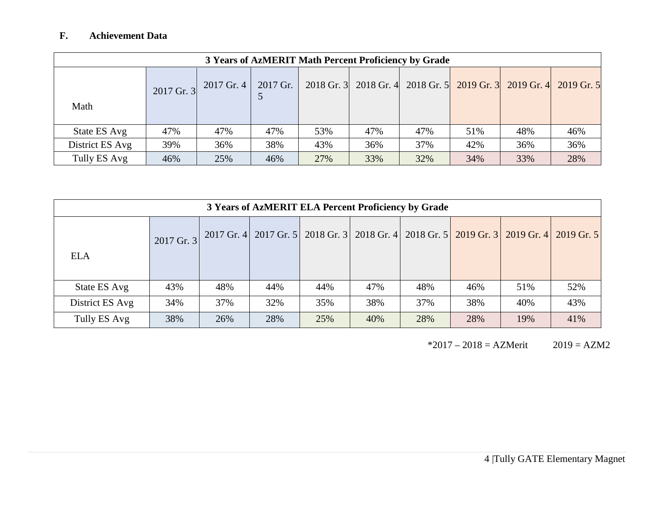# **F. Achievement Data**

|                 | 3 Years of AzMERIT Math Percent Proficiency by Grade |            |          |     |                                                        |     |     |     |              |
|-----------------|------------------------------------------------------|------------|----------|-----|--------------------------------------------------------|-----|-----|-----|--------------|
| Math            | $2017$ Gr. 3                                         | 2017 Gr. 4 | 2017 Gr. |     | 2018 Gr. 3 2018 Gr. 4 2018 Gr. 5 2019 Gr. 3 2019 Gr. 4 |     |     |     | $2019$ Gr. 5 |
| State ES Avg    | 47%                                                  | 47%        | 47%      | 53% | 47%                                                    | 47% | 51% | 48% | 46%          |
| District ES Avg | 39%                                                  | 36%        | 38%      | 43% | 36%                                                    | 37% | 42% | 36% | 36%          |
| Tully ES Avg    | 46%                                                  | 25%        | 46%      | 27% | 33%                                                    | 32% | 34% | 33% | 28%          |

| 3 Years of AzMERIT ELA Percent Proficiency by Grade |            |     |                                                                                         |     |     |     |     |     |     |
|-----------------------------------------------------|------------|-----|-----------------------------------------------------------------------------------------|-----|-----|-----|-----|-----|-----|
|                                                     | 2017 Gr. 3 |     | 2017 Gr. 4 2017 Gr. 5 2018 Gr. 3 2018 Gr. 4 2018 Gr. 5 2019 Gr. 3 2019 Gr. 4 2019 Gr. 5 |     |     |     |     |     |     |
| <b>ELA</b>                                          |            |     |                                                                                         |     |     |     |     |     |     |
| State ES Avg                                        | 43%        | 48% | 44%                                                                                     | 44% | 47% | 48% | 46% | 51% | 52% |
| District ES Avg                                     | 34%        | 37% | 32%                                                                                     | 35% | 38% | 37% | 38% | 40% | 43% |
| Tully ES Avg                                        | 38%        | 26% | 28%                                                                                     | 25% | 40% | 28% | 28% | 19% | 41% |

 $*2017 - 2018 = AZMerit$   $2019 = AZM2$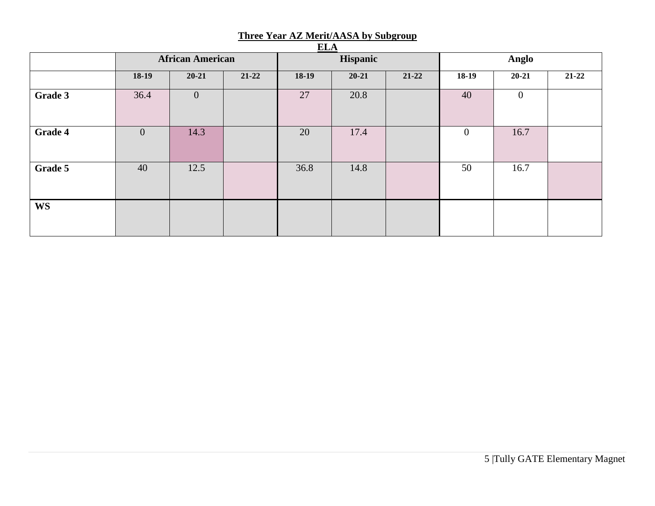| ELA       |                         |                |         |          |           |           |                |                |           |
|-----------|-------------------------|----------------|---------|----------|-----------|-----------|----------------|----------------|-----------|
|           | <b>African American</b> |                |         | Hispanic |           |           | Anglo          |                |           |
|           | $18-19$                 | $20 - 21$      | $21-22$ | $18-19$  | $20 - 21$ | $21 - 22$ | $18-19$        | $20 - 21$      | $21 - 22$ |
| Grade 3   | 36.4                    | $\overline{0}$ |         | 27       | 20.8      |           | 40             | $\overline{0}$ |           |
| Grade 4   | $\mathbf{0}$            | 14.3           |         | 20       | 17.4      |           | $\overline{0}$ | 16.7           |           |
| Grade 5   | 40                      | 12.5           |         | 36.8     | 14.8      |           | 50             | 16.7           |           |
| <b>WS</b> |                         |                |         |          |           |           |                |                |           |

#### **Three Year AZ Merit/AASA by Subgroup**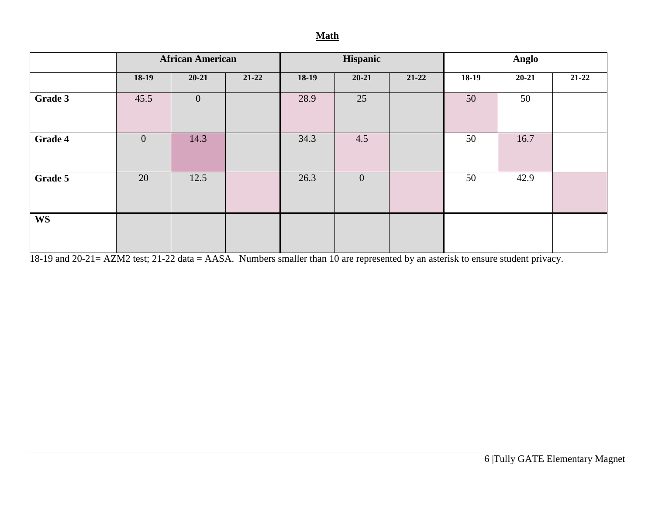### **Math**

|           | <b>African American</b> |              | Hispanic |         |              | Anglo     |         |           |           |
|-----------|-------------------------|--------------|----------|---------|--------------|-----------|---------|-----------|-----------|
|           | $18-19$                 | $20 - 21$    | $21-22$  | $18-19$ | $20 - 21$    | $21 - 22$ | $18-19$ | $20 - 21$ | $21 - 22$ |
| Grade 3   | 45.5                    | $\mathbf{0}$ |          | 28.9    | 25           |           | 50      | 50        |           |
| Grade 4   | $\mathbf{0}$            | 14.3         |          | 34.3    | 4.5          |           | 50      | 16.7      |           |
| Grade 5   | 20                      | 12.5         |          | 26.3    | $\mathbf{0}$ |           | 50      | 42.9      |           |
| <b>WS</b> |                         |              |          |         |              |           |         |           |           |

18-19 and 20-21= AZM2 test; 21-22 data = AASA. Numbers smaller than 10 are represented by an asterisk to ensure student privacy.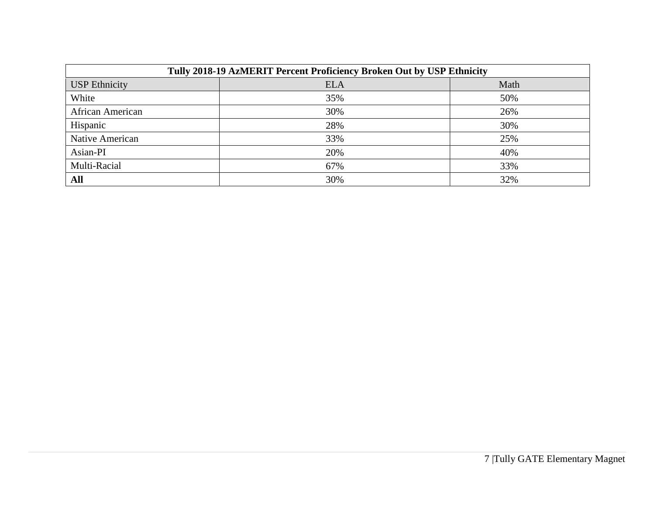| Tully 2018-19 AzMERIT Percent Proficiency Broken Out by USP Ethnicity |            |      |  |  |  |  |
|-----------------------------------------------------------------------|------------|------|--|--|--|--|
| <b>USP Ethnicity</b>                                                  | <b>ELA</b> | Math |  |  |  |  |
| White                                                                 | 35%        | 50%  |  |  |  |  |
| African American                                                      | 30%        | 26%  |  |  |  |  |
| Hispanic                                                              | 28%        | 30%  |  |  |  |  |
| Native American                                                       | 33%        | 25%  |  |  |  |  |
| Asian-PI                                                              | 20%        | 40%  |  |  |  |  |
| Multi-Racial                                                          | 67%        | 33%  |  |  |  |  |
| All                                                                   | 30%        | 32%  |  |  |  |  |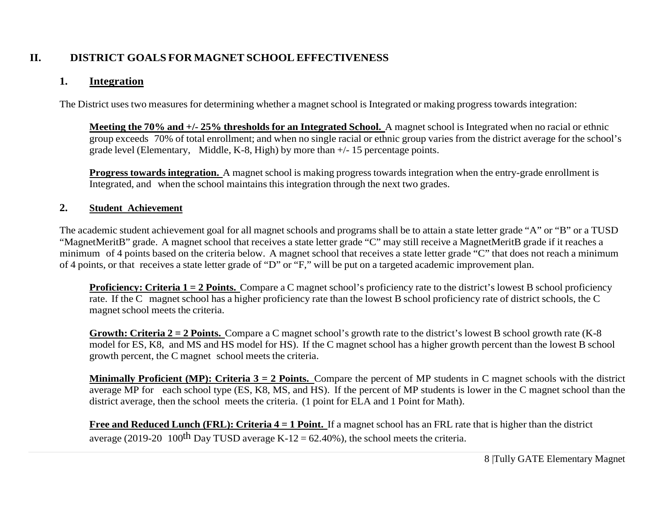# **II. DISTRICT GOALS FOR MAGNET SCHOOL EFFECTIVENESS**

## **1. Integration**

The District uses two measures for determining whether a magnet school is Integrated or making progress towards integration:

**Meeting the 70% and +/- 25% thresholds for an Integrated School.** A magnet school is Integrated when no racial or ethnic group exceeds 70% of total enrollment; and when no single racial or ethnic group varies from the district average for the school's grade level (Elementary, Middle, K-8, High) by more than +/- 15 percentage points.

**Progress towards integration.** A magnet school is making progress towards integration when the entry-grade enrollment is Integrated, and when the school maintains this integration through the next two grades.

### **2. Student Achievement**

The academic student achievement goal for all magnet schools and programs shall be to attain a state letter grade "A" or "B" or a TUSD "MagnetMeritB" grade. A magnet school that receives a state letter grade "C" may still receive a MagnetMeritB grade if it reaches a minimum of 4 points based on the criteria below. A magnet school that receives a state letter grade "C" that does not reach a minimum of 4 points, or that receives a state letter grade of "D" or "F," will be put on a targeted academic improvement plan.

**Proficiency: Criteria 1 = 2 Points.** Compare a C magnet school's proficiency rate to the district's lowest B school proficiency rate. If the C magnet school has a higher proficiency rate than the lowest B school proficiency rate of district schools, the C magnet school meets the criteria.

**Growth: Criteria 2 = 2 Points.** Compare a C magnet school's growth rate to the district's lowest B school growth rate (K-8 model for ES, K8, and MS and HS model for HS). If the C magnet school has a higher growth percent than the lowest B school growth percent, the C magnet school meets the criteria.

**Minimally Proficient (MP): Criteria 3 = 2 Points.** Compare the percent of MP students in C magnet schools with the district average MP for each school type (ES, K8, MS, and HS). If the percent of MP students is lower in the C magnet school than the district average, then the school meets the criteria. (1 point for ELA and 1 Point for Math).

**Free and Reduced Lunch (FRL): Criteria 4 = 1 Point.** If a magnet school has an FRL rate that is higher than the district average (2019-20 100<sup>th</sup> Day TUSD average K-12 = 62.40%), the school meets the criteria.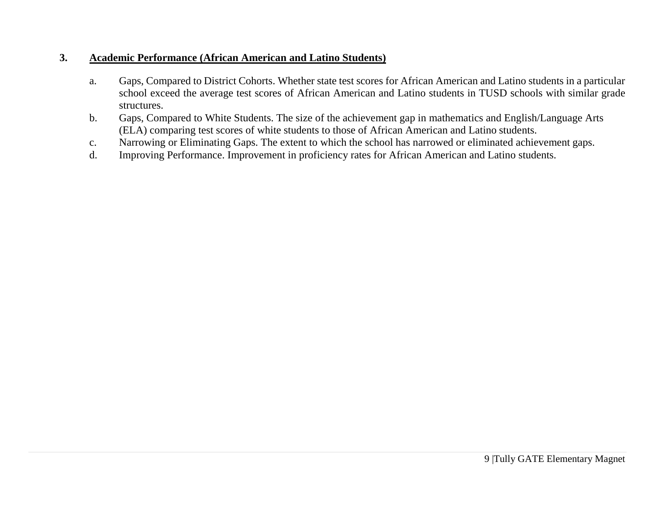### **3. Academic Performance (African American and Latino Students)**

- a. Gaps, Compared to District Cohorts. Whether state test scores for African American and Latino students in a particular school exceed the average test scores of African American and Latino students in TUSD schools with similar grade structures.
- b. Gaps, Compared to White Students. The size of the achievement gap in mathematics and English/Language Arts (ELA) comparing test scores of white students to those of African American and Latino students.
- c. Narrowing or Eliminating Gaps. The extent to which the school has narrowed or eliminated achievement gaps.
- d. Improving Performance. Improvement in proficiency rates for African American and Latino students.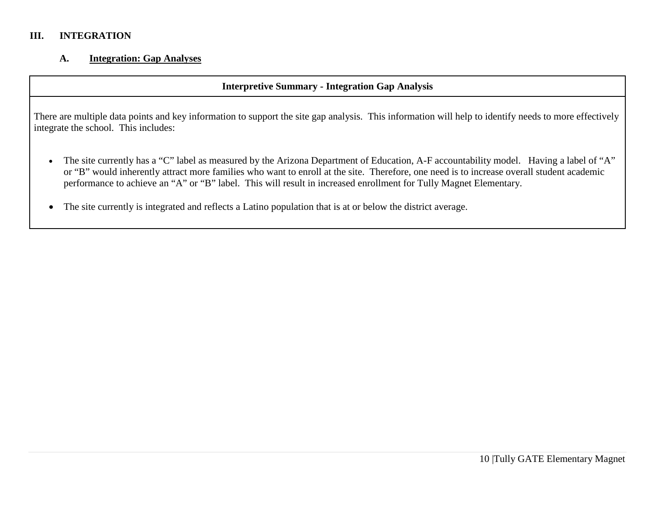### **III. INTEGRATION**

### **A. Integration: Gap Analyses**

### **Interpretive Summary - Integration Gap Analysis**

There are multiple data points and key information to support the site gap analysis. This information will help to identify needs to more effectively integrate the school. This includes:

- The site currently has a "C" label as measured by the Arizona Department of Education, A-F accountability model. Having a label of "A" or "B" would inherently attract more families who want to enroll at the site. Therefore, one need is to increase overall student academic performance to achieve an "A" or "B" label. This will result in increased enrollment for Tully Magnet Elementary.
- The site currently is integrated and reflects a Latino population that is at or below the district average.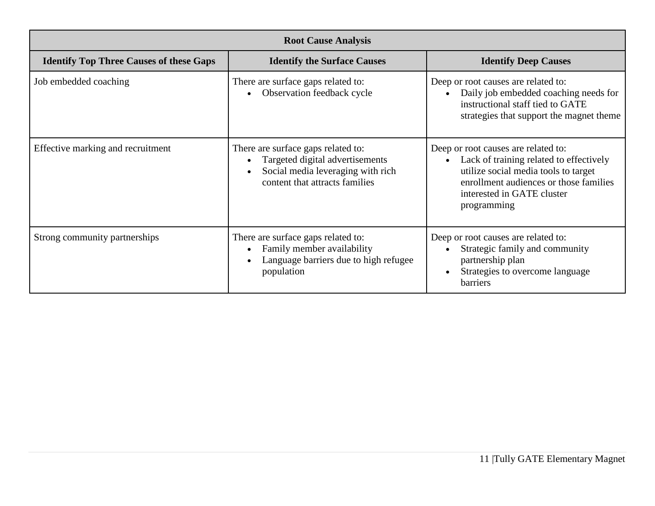|                                                | <b>Root Cause Analysis</b>                                                                                                                                             |                                                                                                                                                                                                               |
|------------------------------------------------|------------------------------------------------------------------------------------------------------------------------------------------------------------------------|---------------------------------------------------------------------------------------------------------------------------------------------------------------------------------------------------------------|
| <b>Identify Top Three Causes of these Gaps</b> | <b>Identify the Surface Causes</b>                                                                                                                                     | <b>Identify Deep Causes</b>                                                                                                                                                                                   |
| Job embedded coaching                          | There are surface gaps related to:<br>Observation feedback cycle<br>$\bullet$                                                                                          | Deep or root causes are related to:<br>Daily job embedded coaching needs for<br>$\bullet$<br>instructional staff tied to GATE<br>strategies that support the magnet theme                                     |
| Effective marking and recruitment              | There are surface gaps related to:<br>Targeted digital advertisements<br>$\bullet$<br>Social media leveraging with rich<br>$\bullet$<br>content that attracts families | Deep or root causes are related to:<br>Lack of training related to effectively<br>utilize social media tools to target<br>enrollment audiences or those families<br>interested in GATE cluster<br>programming |
| Strong community partnerships                  | There are surface gaps related to:<br>Family member availability<br>$\bullet$<br>Language barriers due to high refugee<br>$\bullet$<br>population                      | Deep or root causes are related to:<br>Strategic family and community<br>partnership plan<br>Strategies to overcome language<br><b>barriers</b>                                                               |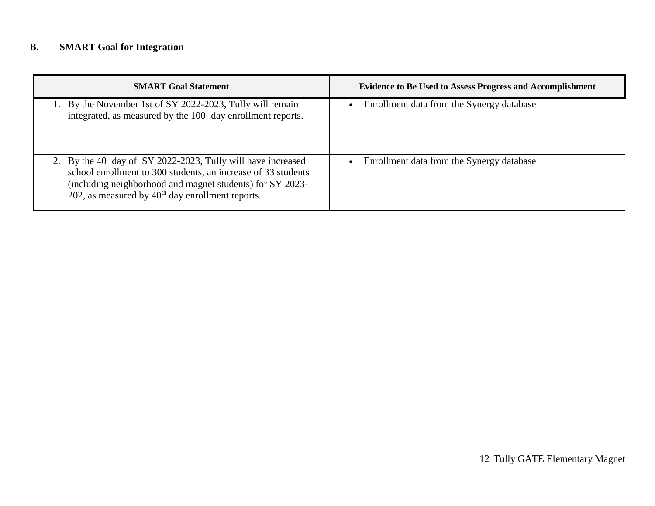# **B. SMART Goal for Integration**

| <b>SMART Goal Statement</b>                                                                                                                                                                                                                         | <b>Evidence to Be Used to Assess Progress and Accomplishment</b> |
|-----------------------------------------------------------------------------------------------------------------------------------------------------------------------------------------------------------------------------------------------------|------------------------------------------------------------------|
| 1. By the November 1st of SY 2022-2023, Tully will remain<br>integrated, as measured by the 100 <sup>th</sup> day enrollment reports.                                                                                                               | Enrollment data from the Synergy database                        |
| 2. By the $40th$ day of SY 2022-2023, Tully will have increased<br>school enrollment to 300 students, an increase of 33 students<br>(including neighborhood and magnet students) for SY 2023-<br>202, as measured by $40th$ day enrollment reports. | Enrollment data from the Synergy database                        |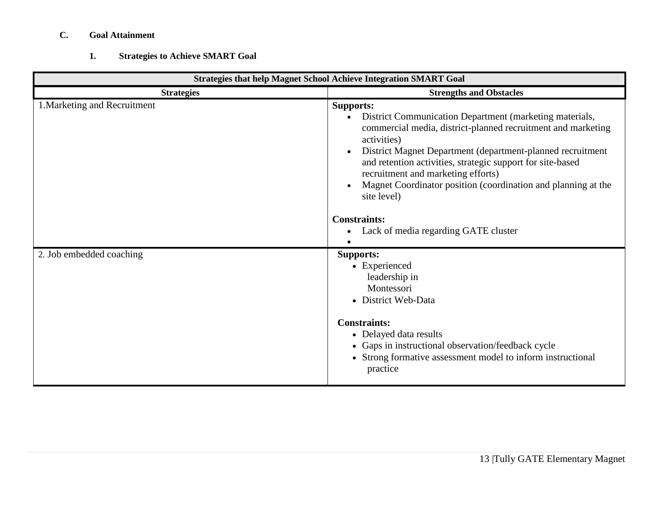# **C. Goal Attainment**

# **1. Strategies to Achieve SMART Goal**

| <b>Strategies that help Magnet School Achieve Integration SMART Goal</b> |                                                                                                                                                                                                                                                                                                                                                                                                                                                                             |  |  |
|--------------------------------------------------------------------------|-----------------------------------------------------------------------------------------------------------------------------------------------------------------------------------------------------------------------------------------------------------------------------------------------------------------------------------------------------------------------------------------------------------------------------------------------------------------------------|--|--|
| <b>Strategies</b>                                                        | <b>Strengths and Obstacles</b>                                                                                                                                                                                                                                                                                                                                                                                                                                              |  |  |
| 1. Marketing and Recruitment                                             | <b>Supports:</b><br>District Communication Department (marketing materials,<br>commercial media, district-planned recruitment and marketing<br>activities)<br>District Magnet Department (department-planned recruitment<br>and retention activities, strategic support for site-based<br>recruitment and marketing efforts)<br>Magnet Coordinator position (coordination and planning at the<br>site level)<br><b>Constraints:</b><br>Lack of media regarding GATE cluster |  |  |
| 2. Job embedded coaching                                                 | <b>Supports:</b><br>• Experienced<br>leadership in<br>Montessori<br>• District Web-Data<br><b>Constraints:</b><br>• Delayed data results<br>• Gaps in instructional observation/feedback cycle<br>• Strong formative assessment model to inform instructional<br>practice                                                                                                                                                                                                   |  |  |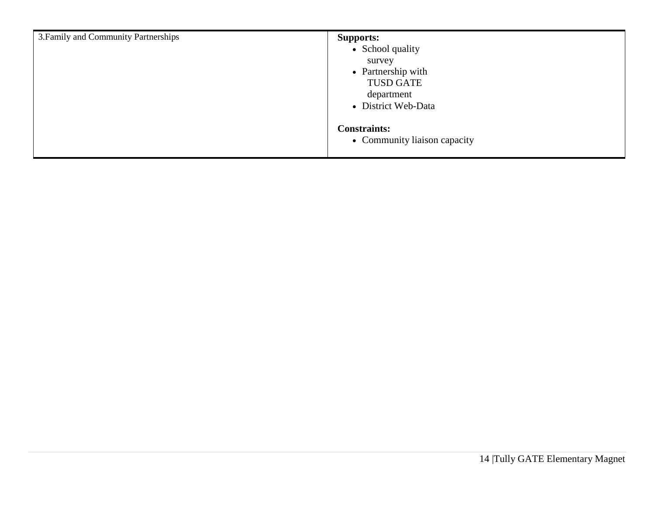| 3. Family and Community Partnerships | <b>Supports:</b><br>• School quality<br>survey<br>• Partnership with<br><b>TUSD GATE</b><br>department<br>• District Web-Data |
|--------------------------------------|-------------------------------------------------------------------------------------------------------------------------------|
|                                      | <b>Constraints:</b><br>• Community liaison capacity                                                                           |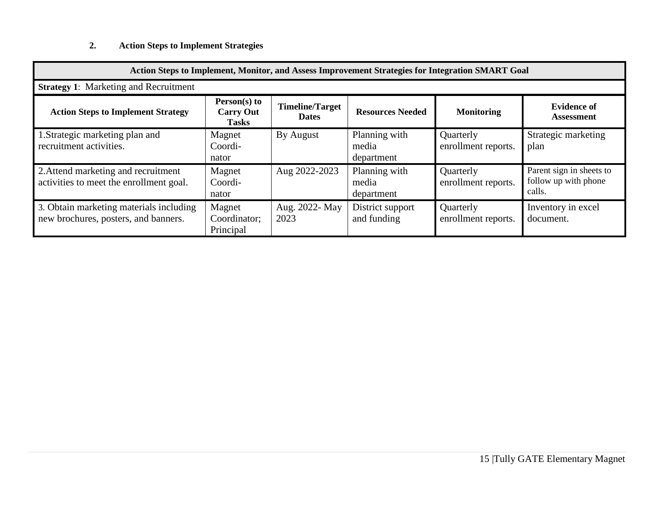# **2. Action Steps to Implement Strategies**

| Action Steps to Implement, Monitor, and Assess Improvement Strategies for Integration SMART Goal |                                                  |                                        |                                      |                                  |                                                            |
|--------------------------------------------------------------------------------------------------|--------------------------------------------------|----------------------------------------|--------------------------------------|----------------------------------|------------------------------------------------------------|
| <b>Strategy 1: Marketing and Recruitment</b>                                                     |                                                  |                                        |                                      |                                  |                                                            |
| <b>Action Steps to Implement Strategy</b>                                                        | Person(s) to<br><b>Carry Out</b><br><b>Tasks</b> | <b>Timeline/Target</b><br><b>Dates</b> | <b>Resources Needed</b>              | <b>Monitoring</b>                | <b>Evidence of</b><br><b>Assessment</b>                    |
| 1. Strategic marketing plan and<br>recruitment activities.                                       | Magnet<br>Coordi-<br>nator                       | By August                              | Planning with<br>media<br>department | Quarterly<br>enrollment reports. | Strategic marketing<br>plan                                |
| 2. Attend marketing and recruitment<br>activities to meet the enrollment goal.                   | Magnet<br>Coordi-<br>nator                       | Aug 2022-2023                          | Planning with<br>media<br>department | Quarterly<br>enrollment reports. | Parent sign in sheets to<br>follow up with phone<br>calls. |
| 3. Obtain marketing materials including<br>new brochures, posters, and banners.                  | Magnet<br>Coordinator;<br>Principal              | Aug. 2022- May<br>2023                 | District support<br>and funding      | Quarterly<br>enrollment reports. | Inventory in excel<br>document.                            |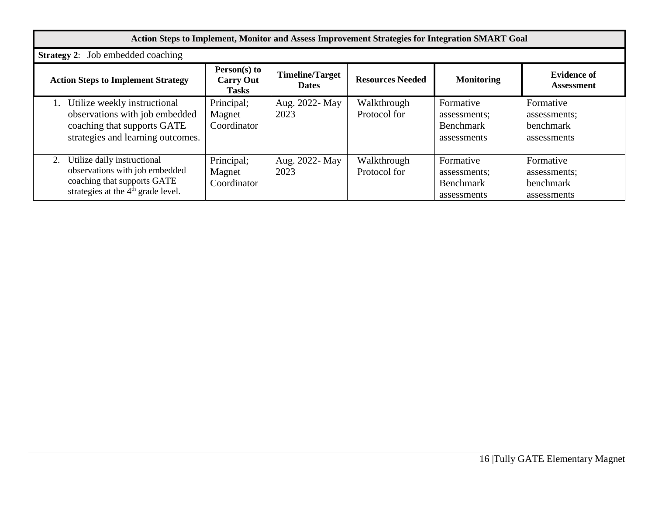| Action Steps to Implement, Monitor and Assess Improvement Strategies for Integration SMART Goal                                                      |                                                  |                                        |                             |                                                       |                                                       |
|------------------------------------------------------------------------------------------------------------------------------------------------------|--------------------------------------------------|----------------------------------------|-----------------------------|-------------------------------------------------------|-------------------------------------------------------|
| <b>Strategy 2:</b> Job embedded coaching                                                                                                             |                                                  |                                        |                             |                                                       |                                                       |
| <b>Action Steps to Implement Strategy</b>                                                                                                            | Person(s) to<br><b>Carry Out</b><br><b>Tasks</b> | <b>Timeline/Target</b><br><b>Dates</b> | <b>Resources Needed</b>     | <b>Monitoring</b>                                     | <b>Evidence of</b><br>Assessment                      |
| Utilize weekly instructional<br>observations with job embedded<br>coaching that supports GATE<br>strategies and learning outcomes.                   | Principal;<br>Magnet<br>Coordinator              | Aug. 2022- May<br>2023                 | Walkthrough<br>Protocol for | Formative<br>assessments;<br>Benchmark<br>assessments | Formative<br>assessments;<br>benchmark<br>assessments |
| Utilize daily instructional<br>2.<br>observations with job embedded<br>coaching that supports GATE<br>strategies at the 4 <sup>th</sup> grade level. | Principal;<br>Magnet<br>Coordinator              | Aug. 2022- May<br>2023                 | Walkthrough<br>Protocol for | Formative<br>assessments;<br>Benchmark<br>assessments | Formative<br>assessments;<br>benchmark<br>assessments |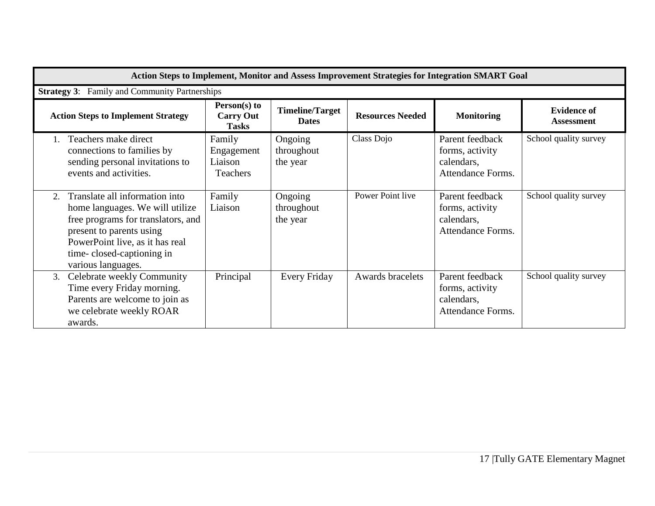|    | Action Steps to Implement, Monitor and Assess Improvement Strategies for Integration SMART Goal                                                                                                                           |                                                    |                                        |                         |                                                                       |                                         |
|----|---------------------------------------------------------------------------------------------------------------------------------------------------------------------------------------------------------------------------|----------------------------------------------------|----------------------------------------|-------------------------|-----------------------------------------------------------------------|-----------------------------------------|
|    | <b>Strategy 3:</b> Family and Community Partnerships                                                                                                                                                                      |                                                    |                                        |                         |                                                                       |                                         |
|    | <b>Action Steps to Implement Strategy</b>                                                                                                                                                                                 | Person(s) to<br><b>Carry Out</b><br><b>Tasks</b>   | <b>Timeline/Target</b><br><b>Dates</b> | <b>Resources Needed</b> | <b>Monitoring</b>                                                     | <b>Evidence of</b><br><b>Assessment</b> |
|    | Teachers make direct<br>connections to families by<br>sending personal invitations to<br>events and activities.                                                                                                           | Family<br>Engagement<br>Liaison<br><b>Teachers</b> | Ongoing<br>throughout<br>the year      | Class Dojo              | Parent feedback<br>forms, activity<br>calendars,<br>Attendance Forms. | School quality survey                   |
| 2. | Translate all information into<br>home languages. We will utilize<br>free programs for translators, and<br>present to parents using<br>PowerPoint live, as it has real<br>time-closed-captioning in<br>various languages. | Family<br>Liaison                                  | Ongoing<br>throughout<br>the year      | Power Point live        | Parent feedback<br>forms, activity<br>calendars,<br>Attendance Forms. | School quality survey                   |
| 3. | Celebrate weekly Community<br>Time every Friday morning.<br>Parents are welcome to join as<br>we celebrate weekly ROAR<br>awards.                                                                                         | Principal                                          | <b>Every Friday</b>                    | Awards bracelets        | Parent feedback<br>forms, activity<br>calendars,<br>Attendance Forms. | School quality survey                   |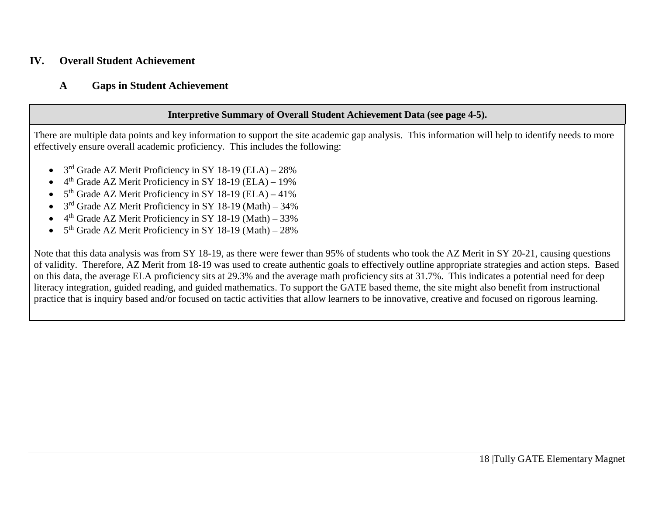### **IV. Overall Student Achievement**

### **A Gaps in Student Achievement**

### **Interpretive Summary of Overall Student Achievement Data (see page 4-5).**

There are multiple data points and key information to support the site academic gap analysis. This information will help to identify needs to more effectively ensure overall academic proficiency. This includes the following:

- 3<sup>rd</sup> Grade AZ Merit Proficiency in SY 18-19 (ELA) 28%
- $4<sup>th</sup>$  Grade AZ Merit Proficiency in SY 18-19 (ELA) 19%
- $5<sup>th</sup>$  Grade AZ Merit Proficiency in SY 18-19 (ELA) 41%
- 3rd Grade AZ Merit Proficiency in SY 18-19 (Math) 34%
- $4^{th}$  Grade AZ Merit Proficiency in SY 18-19 (Math) 33%
- $5<sup>th</sup>$  Grade AZ Merit Proficiency in SY 18-19 (Math) 28%

Note that this data analysis was from SY 18-19, as there were fewer than 95% of students who took the AZ Merit in SY 20-21, causing questions of validity. Therefore, AZ Merit from 18-19 was used to create authentic goals to effectively outline appropriate strategies and action steps. Based on this data, the average ELA proficiency sits at 29.3% and the average math proficiency sits at 31.7%. This indicates a potential need for deep literacy integration, guided reading, and guided mathematics. To support the GATE based theme, the site might also benefit from instructional practice that is inquiry based and/or focused on tactic activities that allow learners to be innovative, creative and focused on rigorous learning.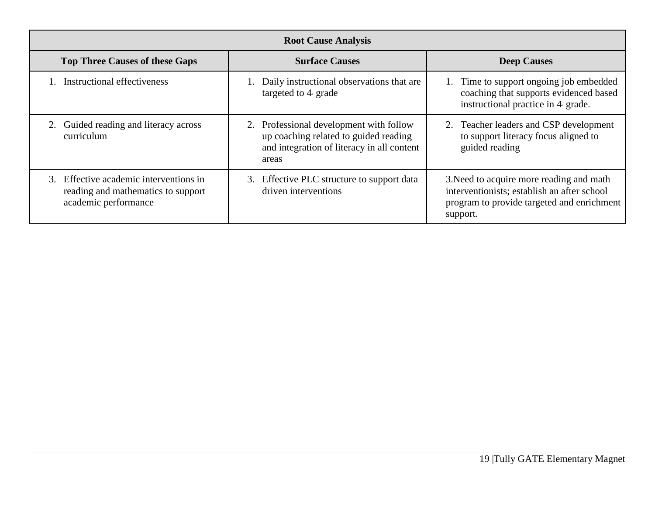| <b>Root Cause Analysis</b>                                                                           |                                                                                                                                         |                                                                                                                                                   |  |  |  |
|------------------------------------------------------------------------------------------------------|-----------------------------------------------------------------------------------------------------------------------------------------|---------------------------------------------------------------------------------------------------------------------------------------------------|--|--|--|
| <b>Top Three Causes of these Gaps</b>                                                                | <b>Surface Causes</b>                                                                                                                   | <b>Deep Causes</b>                                                                                                                                |  |  |  |
| Instructional effectiveness                                                                          | 1. Daily instructional observations that are<br>targeted to 4 grade                                                                     | 1. Time to support ongoing job embedded<br>coaching that supports evidenced based<br>instructional practice in 4 grade.                           |  |  |  |
| Guided reading and literacy across<br>2.<br>curriculum                                               | 2. Professional development with follow<br>up coaching related to guided reading<br>and integration of literacy in all content<br>areas | 2. Teacher leaders and CSP development<br>to support literacy focus aligned to<br>guided reading                                                  |  |  |  |
| 3. Effective academic interventions in<br>reading and mathematics to support<br>academic performance | 3. Effective PLC structure to support data<br>driven interventions                                                                      | 3. Need to acquire more reading and math<br>interventionists; establish an after school<br>program to provide targeted and enrichment<br>support. |  |  |  |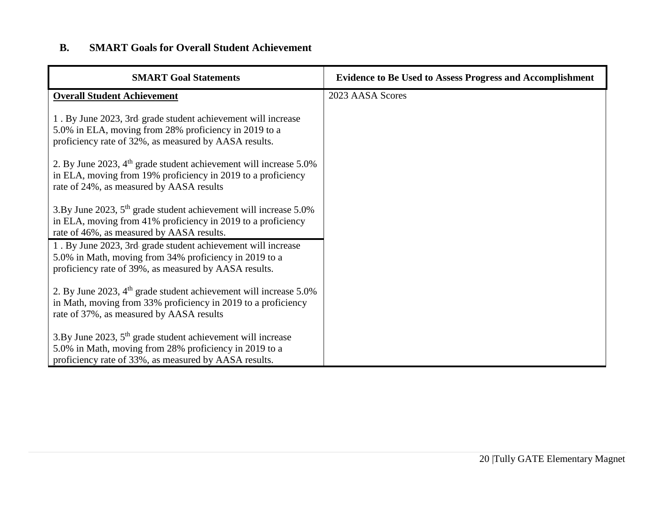# **B. SMART Goals for Overall Student Achievement**

| <b>SMART Goal Statements</b>                                                                                                                                                              | <b>Evidence to Be Used to Assess Progress and Accomplishment</b> |
|-------------------------------------------------------------------------------------------------------------------------------------------------------------------------------------------|------------------------------------------------------------------|
| <b>Overall Student Achievement</b>                                                                                                                                                        | 2023 AASA Scores                                                 |
| 1. By June 2023, 3rd grade student achievement will increase<br>5.0% in ELA, moving from 28% proficiency in 2019 to a<br>proficiency rate of 32%, as measured by AASA results.            |                                                                  |
| 2. By June 2023, 4 <sup>th</sup> grade student achievement will increase 5.0%<br>in ELA, moving from 19% proficiency in 2019 to a proficiency<br>rate of 24%, as measured by AASA results |                                                                  |
| 3.By June 2023, $5th$ grade student achievement will increase 5.0%<br>in ELA, moving from 41% proficiency in 2019 to a proficiency<br>rate of 46%, as measured by AASA results.           |                                                                  |
| 1. By June 2023, 3rd grade student achievement will increase<br>5.0% in Math, moving from 34% proficiency in 2019 to a<br>proficiency rate of 39%, as measured by AASA results.           |                                                                  |
| 2. By June 2023, $4th$ grade student achievement will increase 5.0%<br>in Math, moving from 33% proficiency in 2019 to a proficiency<br>rate of 37%, as measured by AASA results          |                                                                  |
| 3.By June 2023, $5th$ grade student achievement will increase<br>5.0% in Math, moving from 28% proficiency in 2019 to a<br>proficiency rate of 33%, as measured by AASA results.          |                                                                  |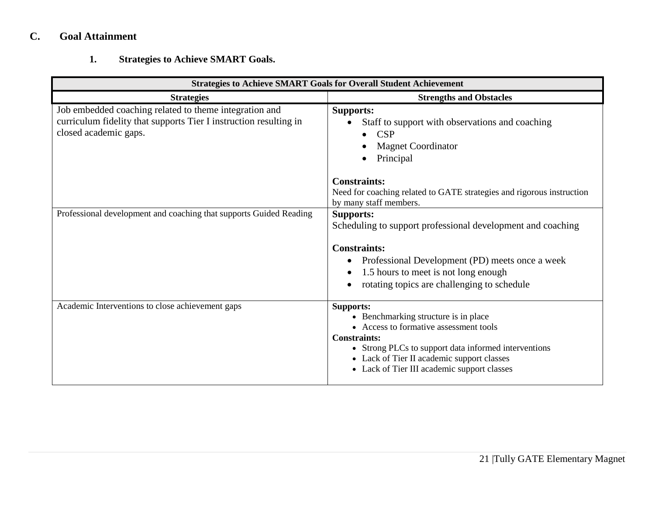# **C. Goal Attainment**

# **1. Strategies to Achieve SMART Goals.**

| <b>Strategies to Achieve SMART Goals for Overall Student Achievement</b>                                                                             |                                                                                                                                                                                                                                                                                |  |  |  |
|------------------------------------------------------------------------------------------------------------------------------------------------------|--------------------------------------------------------------------------------------------------------------------------------------------------------------------------------------------------------------------------------------------------------------------------------|--|--|--|
| <b>Strategies</b>                                                                                                                                    | <b>Strengths and Obstacles</b>                                                                                                                                                                                                                                                 |  |  |  |
| Job embedded coaching related to theme integration and<br>curriculum fidelity that supports Tier I instruction resulting in<br>closed academic gaps. | <b>Supports:</b><br>Staff to support with observations and coaching<br>CSP<br><b>Magnet Coordinator</b><br>Principal                                                                                                                                                           |  |  |  |
|                                                                                                                                                      | <b>Constraints:</b><br>Need for coaching related to GATE strategies and rigorous instruction<br>by many staff members.                                                                                                                                                         |  |  |  |
| Professional development and coaching that supports Guided Reading                                                                                   | <b>Supports:</b><br>Scheduling to support professional development and coaching<br><b>Constraints:</b><br>Professional Development (PD) meets once a week<br>1.5 hours to meet is not long enough<br>rotating topics are challenging to schedule                               |  |  |  |
| Academic Interventions to close achievement gaps                                                                                                     | <b>Supports:</b><br>• Benchmarking structure is in place<br>• Access to formative assessment tools<br><b>Constraints:</b><br>• Strong PLCs to support data informed interventions<br>• Lack of Tier II academic support classes<br>• Lack of Tier III academic support classes |  |  |  |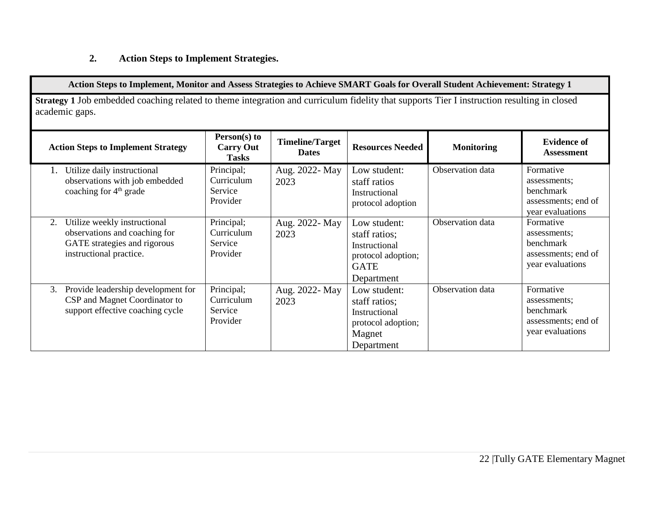# **2. Action Steps to Implement Strategies.**

|                                                                                                                                                              | Action Steps to Implement, Monitor and Assess Strategies to Achieve SMART Goals for Overall Student Achievement: Strategy 1 |                                        |                                                                                                   |                   |                                                                                   |
|--------------------------------------------------------------------------------------------------------------------------------------------------------------|-----------------------------------------------------------------------------------------------------------------------------|----------------------------------------|---------------------------------------------------------------------------------------------------|-------------------|-----------------------------------------------------------------------------------|
| Strategy 1 Job embedded coaching related to theme integration and curriculum fidelity that supports Tier I instruction resulting in closed<br>academic gaps. |                                                                                                                             |                                        |                                                                                                   |                   |                                                                                   |
| <b>Action Steps to Implement Strategy</b>                                                                                                                    | Person(s) to<br><b>Carry Out</b><br><b>Tasks</b>                                                                            | <b>Timeline/Target</b><br><b>Dates</b> | <b>Resources Needed</b>                                                                           | <b>Monitoring</b> | <b>Evidence of</b><br><b>Assessment</b>                                           |
| Utilize daily instructional<br>observations with job embedded<br>coaching for $4th$ grade                                                                    | Principal;<br>Curriculum<br>Service<br>Provider                                                                             | Aug. 2022- May<br>2023                 | Low student:<br>staff ratios<br>Instructional<br>protocol adoption                                | Observation data  | Formative<br>assessments:<br>benchmark<br>assessments; end of<br>year evaluations |
| Utilize weekly instructional<br>2.<br>observations and coaching for<br>GATE strategies and rigorous<br>instructional practice.                               | Principal;<br>Curriculum<br>Service<br>Provider                                                                             | Aug. 2022- May<br>2023                 | Low student:<br>staff ratios;<br>Instructional<br>protocol adoption;<br><b>GATE</b><br>Department | Observation data  | Formative<br>assessments:<br>benchmark<br>assessments; end of<br>year evaluations |
| Provide leadership development for<br>3.<br>CSP and Magnet Coordinator to<br>support effective coaching cycle                                                | Principal;<br>Curriculum<br>Service<br>Provider                                                                             | Aug. 2022- May<br>2023                 | Low student:<br>staff ratios;<br>Instructional<br>protocol adoption;<br>Magnet<br>Department      | Observation data  | Formative<br>assessments;<br>benchmark<br>assessments; end of<br>year evaluations |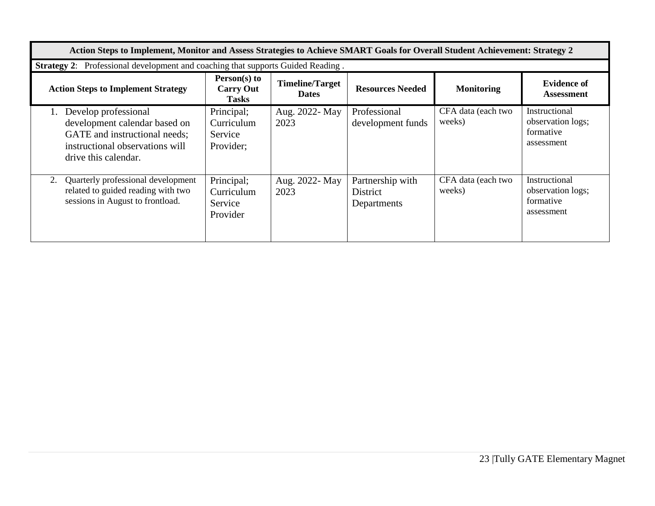| Action Steps to Implement, Monitor and Assess Strategies to Achieve SMART Goals for Overall Student Achievement: Strategy 2                             |                                                    |                                        |                                                    |                              |                                                               |
|---------------------------------------------------------------------------------------------------------------------------------------------------------|----------------------------------------------------|----------------------------------------|----------------------------------------------------|------------------------------|---------------------------------------------------------------|
| Professional development and coaching that supports Guided Reading.<br><b>Strategy 2:</b>                                                               |                                                    |                                        |                                                    |                              |                                                               |
| <b>Action Steps to Implement Strategy</b>                                                                                                               | $Person(s)$ to<br><b>Carry Out</b><br><b>Tasks</b> | <b>Timeline/Target</b><br><b>Dates</b> | <b>Resources Needed</b>                            | <b>Monitoring</b>            | <b>Evidence of</b><br><b>Assessment</b>                       |
| Develop professional<br>1.<br>development calendar based on<br>GATE and instructional needs;<br>instructional observations will<br>drive this calendar. | Principal;<br>Curriculum<br>Service<br>Provider;   | Aug. 2022- May<br>2023                 | Professional<br>development funds                  | CFA data (each two<br>weeks) | Instructional<br>observation logs;<br>formative<br>assessment |
| Quarterly professional development<br>2.<br>related to guided reading with two<br>sessions in August to frontload.                                      | Principal;<br>Curriculum<br>Service<br>Provider    | Aug. 2022- May<br>2023                 | Partnership with<br><b>District</b><br>Departments | CFA data (each two<br>weeks) | Instructional<br>observation logs;<br>formative<br>assessment |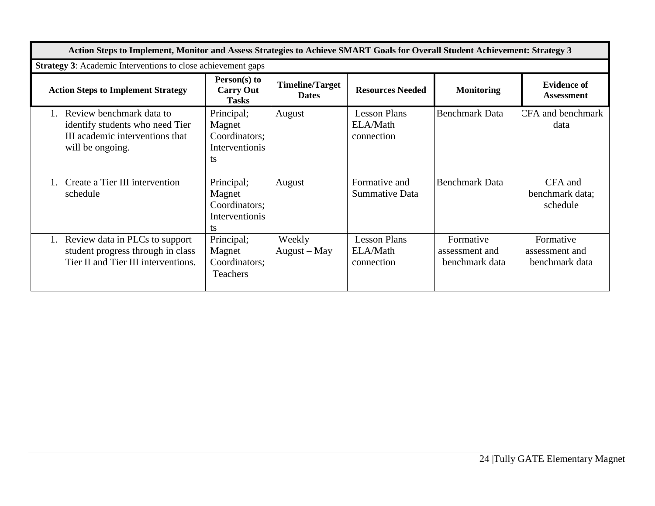| Action Steps to Implement, Monitor and Assess Strategies to Achieve SMART Goals for Overall Student Achievement: Strategy 3 |                                                               |                                        |                                               |                                               |                                               |
|-----------------------------------------------------------------------------------------------------------------------------|---------------------------------------------------------------|----------------------------------------|-----------------------------------------------|-----------------------------------------------|-----------------------------------------------|
| <b>Strategy 3:</b> Academic Interventions to close achievement gaps                                                         |                                                               |                                        |                                               |                                               |                                               |
| <b>Action Steps to Implement Strategy</b>                                                                                   | Person(s) to<br><b>Carry Out</b><br><b>Tasks</b>              | <b>Timeline/Target</b><br><b>Dates</b> | <b>Resources Needed</b>                       | <b>Monitoring</b>                             | <b>Evidence of</b><br><b>Assessment</b>       |
| Review benchmark data to<br>identify students who need Tier<br>III academic interventions that<br>will be ongoing.          | Principal;<br>Magnet<br>Coordinators;<br>Interventionis<br>ts | August                                 | <b>Lesson Plans</b><br>ELA/Math<br>connection | <b>Benchmark Data</b>                         | <b>CFA</b> and benchmark<br>data              |
| Create a Tier III intervention<br>schedule                                                                                  | Principal;<br>Magnet<br>Coordinators;<br>Interventionis<br>ts | August                                 | Formative and<br>Summative Data               | <b>Benchmark Data</b>                         | CFA and<br>benchmark data;<br>schedule        |
| Review data in PLCs to support<br>student progress through in class<br>Tier II and Tier III interventions.                  | Principal;<br>Magnet<br>Coordinators;<br>Teachers             | Weekly<br>$August - May$               | <b>Lesson Plans</b><br>ELA/Math<br>connection | Formative<br>assessment and<br>benchmark data | Formative<br>assessment and<br>benchmark data |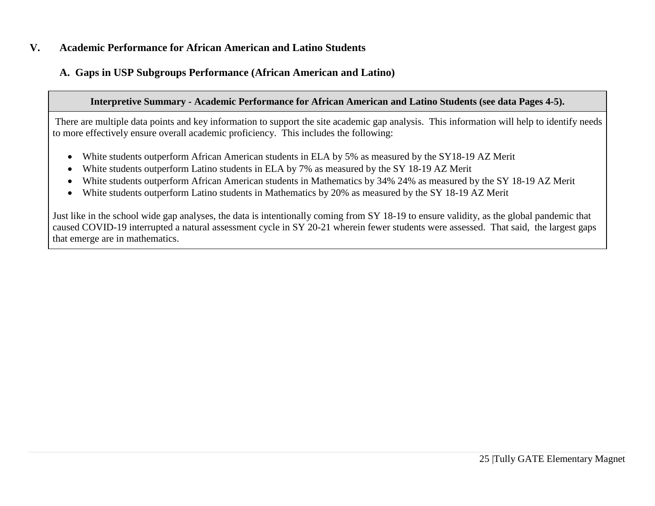### **V. Academic Performance for African American and Latino Students**

# **A. Gaps in USP Subgroups Performance (African American and Latino)**

#### **Interpretive Summary - Academic Performance for African American and Latino Students (see data Pages 4-5).**

There are multiple data points and key information to support the site academic gap analysis. This information will help to identify needs to more effectively ensure overall academic proficiency. This includes the following:

- White students outperform African American students in ELA by 5% as measured by the SY18-19 AZ Merit
- White students outperform Latino students in ELA by 7% as measured by the SY 18-19 AZ Merit
- White students outperform African American students in Mathematics by 34% 24% as measured by the SY 18-19 AZ Merit
- White students outperform Latino students in Mathematics by 20% as measured by the SY 18-19 AZ Merit

Just like in the school wide gap analyses, the data is intentionally coming from SY 18-19 to ensure validity, as the global pandemic that caused COVID-19 interrupted a natural assessment cycle in SY 20-21 wherein fewer students were assessed. That said, the largest gaps that emerge are in mathematics.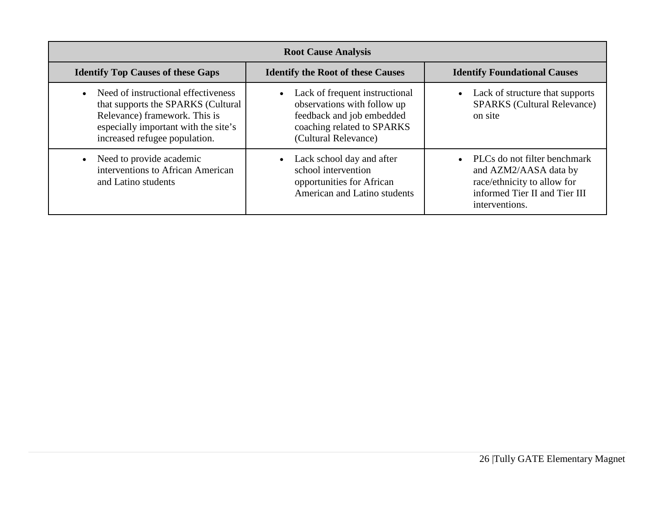| <b>Root Cause Analysis</b>                                                                                                                                                          |                                                                                                                                                               |                                                                                                                                         |  |  |  |
|-------------------------------------------------------------------------------------------------------------------------------------------------------------------------------------|---------------------------------------------------------------------------------------------------------------------------------------------------------------|-----------------------------------------------------------------------------------------------------------------------------------------|--|--|--|
| <b>Identify Top Causes of these Gaps</b>                                                                                                                                            | <b>Identify the Root of these Causes</b>                                                                                                                      | <b>Identify Foundational Causes</b>                                                                                                     |  |  |  |
| Need of instructional effectiveness<br>that supports the SPARKS (Cultural<br>Relevance) framework. This is<br>especially important with the site's<br>increased refugee population. | Lack of frequent instructional<br>$\bullet$<br>observations with follow up<br>feedback and job embedded<br>coaching related to SPARKS<br>(Cultural Relevance) | Lack of structure that supports<br><b>SPARKS</b> (Cultural Relevance)<br>on site                                                        |  |  |  |
| Need to provide academic<br>interventions to African American<br>and Latino students                                                                                                | Lack school day and after<br>school intervention<br>opportunities for African<br>American and Latino students                                                 | PLCs do not filter benchmark<br>and AZM2/AASA data by<br>race/ethnicity to allow for<br>informed Tier II and Tier III<br>interventions. |  |  |  |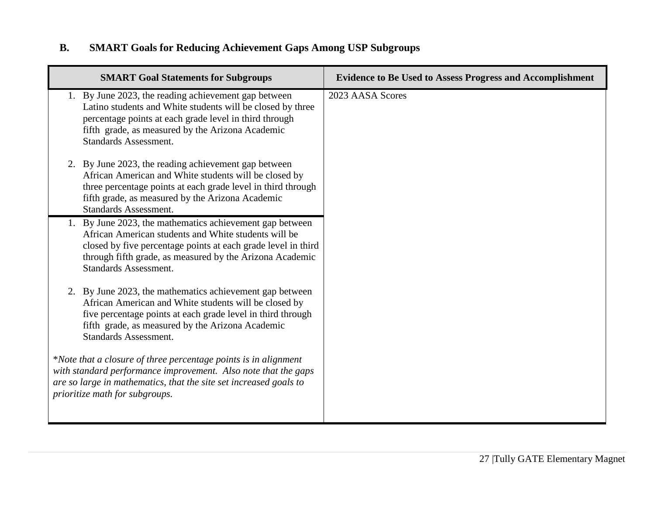# **B. SMART Goals for Reducing Achievement Gaps Among USP Subgroups**

| <b>SMART Goal Statements for Subgroups</b>                                                                                                                                                                                                                                 | <b>Evidence to Be Used to Assess Progress and Accomplishment</b> |
|----------------------------------------------------------------------------------------------------------------------------------------------------------------------------------------------------------------------------------------------------------------------------|------------------------------------------------------------------|
| 1. By June 2023, the reading achievement gap between<br>Latino students and White students will be closed by three<br>percentage points at each grade level in third through<br>fifth grade, as measured by the Arizona Academic<br><b>Standards Assessment.</b>           | 2023 AASA Scores                                                 |
| 2. By June 2023, the reading achievement gap between<br>African American and White students will be closed by<br>three percentage points at each grade level in third through<br>fifth grade, as measured by the Arizona Academic<br><b>Standards Assessment.</b>          |                                                                  |
| By June 2023, the mathematics achievement gap between<br>African American students and White students will be<br>closed by five percentage points at each grade level in third<br>through fifth grade, as measured by the Arizona Academic<br><b>Standards Assessment.</b> |                                                                  |
| 2. By June 2023, the mathematics achievement gap between<br>African American and White students will be closed by<br>five percentage points at each grade level in third through<br>fifth grade, as measured by the Arizona Academic<br><b>Standards Assessment.</b>       |                                                                  |
| *Note that a closure of three percentage points is in alignment<br>with standard performance improvement. Also note that the gaps<br>are so large in mathematics, that the site set increased goals to<br>prioritize math for subgroups.                                   |                                                                  |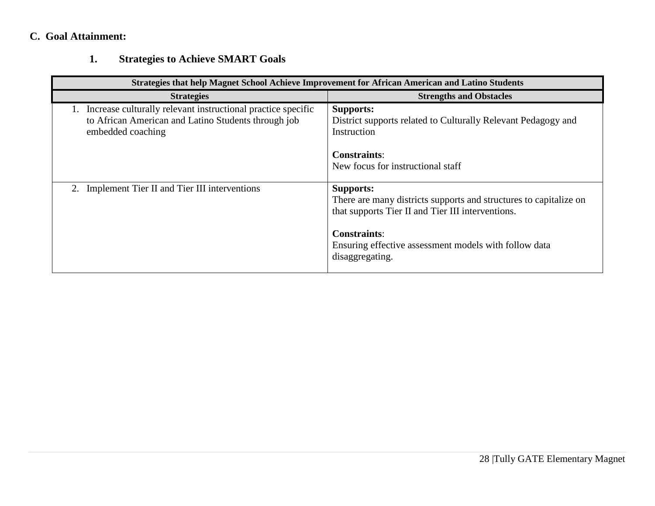# **C. Goal Attainment:**

# **1. Strategies to Achieve SMART Goals**

| Strategies that help Magnet School Achieve Improvement for African American and Latino Students                                          |                                                                                                                                                                                                                                               |  |  |  |  |  |  |  |  |
|------------------------------------------------------------------------------------------------------------------------------------------|-----------------------------------------------------------------------------------------------------------------------------------------------------------------------------------------------------------------------------------------------|--|--|--|--|--|--|--|--|
| <b>Strategies</b>                                                                                                                        | <b>Strengths and Obstacles</b>                                                                                                                                                                                                                |  |  |  |  |  |  |  |  |
| Increase culturally relevant instructional practice specific<br>to African American and Latino Students through job<br>embedded coaching | <b>Supports:</b><br>District supports related to Culturally Relevant Pedagogy and<br>Instruction                                                                                                                                              |  |  |  |  |  |  |  |  |
|                                                                                                                                          | <b>Constraints:</b><br>New focus for instructional staff                                                                                                                                                                                      |  |  |  |  |  |  |  |  |
| Implement Tier II and Tier III interventions                                                                                             | <b>Supports:</b><br>There are many districts supports and structures to capitalize on<br>that supports Tier II and Tier III interventions.<br><b>Constraints:</b><br>Ensuring effective assessment models with follow data<br>disaggregating. |  |  |  |  |  |  |  |  |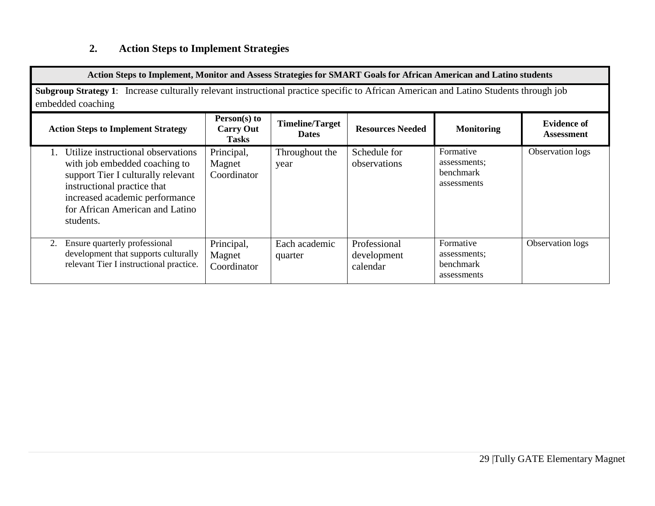# **2. Action Steps to Implement Strategies**

| Action Steps to Implement, Monitor and Assess Strategies for SMART Goals for African American and Latino students                                                                                                          |                                                  |                                        |                                         |                                                       |                                         |  |  |  |  |
|----------------------------------------------------------------------------------------------------------------------------------------------------------------------------------------------------------------------------|--------------------------------------------------|----------------------------------------|-----------------------------------------|-------------------------------------------------------|-----------------------------------------|--|--|--|--|
| Subgroup Strategy 1: Increase culturally relevant instructional practice specific to African American and Latino Students through job<br>embedded coaching                                                                 |                                                  |                                        |                                         |                                                       |                                         |  |  |  |  |
| <b>Action Steps to Implement Strategy</b>                                                                                                                                                                                  | Person(s) to<br><b>Carry Out</b><br><b>Tasks</b> | <b>Timeline/Target</b><br><b>Dates</b> | <b>Resources Needed</b>                 | <b>Monitoring</b>                                     | <b>Evidence of</b><br><b>Assessment</b> |  |  |  |  |
| Utilize instructional observations<br>with job embedded coaching to<br>support Tier I culturally relevant<br>instructional practice that<br>increased academic performance<br>for African American and Latino<br>students. | Principal,<br>Magnet<br>Coordinator              | Throughout the<br>year                 | Schedule for<br>observations            | Formative<br>assessments;<br>benchmark<br>assessments | Observation logs                        |  |  |  |  |
| Ensure quarterly professional<br>2.<br>development that supports culturally<br>relevant Tier I instructional practice.                                                                                                     | Principal,<br>Magnet<br>Coordinator              | Each academic<br>quarter               | Professional<br>development<br>calendar | Formative<br>assessments;<br>benchmark<br>assessments | Observation logs                        |  |  |  |  |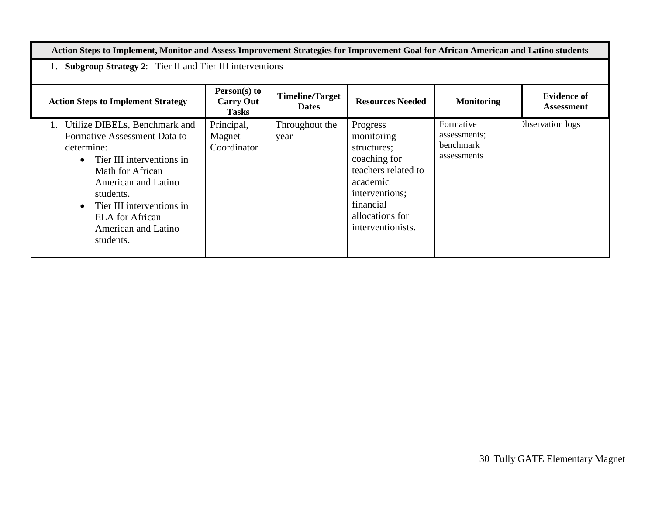**Action Steps to Implement, Monitor and Assess Improvement Strategies for Improvement Goal for African American and Latino students**

1. **Subgroup Strategy 2**: Tier II and Tier III interventions

| <b>Action Steps to Implement Strategy</b>                                                                                                                                                                                                                                  | Person(s) to<br><b>Carry Out</b><br><b>Tasks</b> | <b>Timeline/Target</b><br><b>Dates</b> | <b>Resources Needed</b>                                                                                                                                         | <b>Monitoring</b>                                     | <b>Evidence of</b><br><b>Assessment</b> |
|----------------------------------------------------------------------------------------------------------------------------------------------------------------------------------------------------------------------------------------------------------------------------|--------------------------------------------------|----------------------------------------|-----------------------------------------------------------------------------------------------------------------------------------------------------------------|-------------------------------------------------------|-----------------------------------------|
| 1. Utilize DIBELs, Benchmark and<br>Formative Assessment Data to<br>determine:<br>• Tier III interventions in<br>Math for African<br>American and Latino<br>students.<br>$\bullet$ Tier III interventions in<br><b>ELA</b> for African<br>American and Latino<br>students. | Principal,<br>Magnet<br>Coordinator              | Throughout the<br>year                 | Progress<br>monitoring<br>structures;<br>coaching for<br>teachers related to<br>academic<br>interventions;<br>financial<br>allocations for<br>interventionists. | Formative<br>assessments;<br>benchmark<br>assessments | <b>Observation</b> logs                 |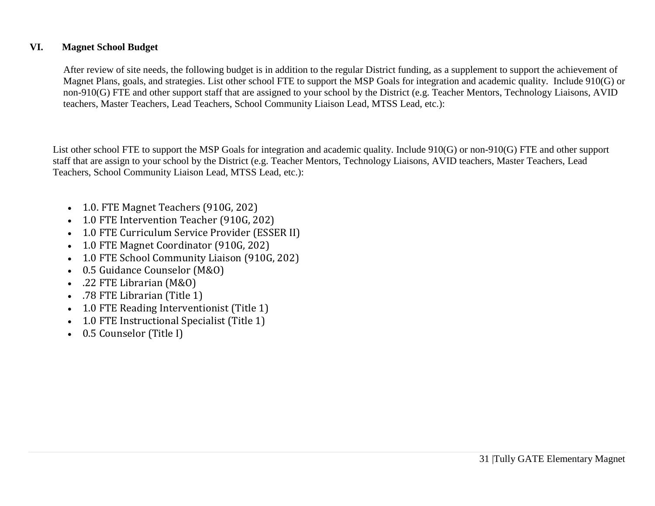### **VI. Magnet School Budget**

After review of site needs, the following budget is in addition to the regular District funding, as a supplement to support the achievement of Magnet Plans, goals, and strategies. List other school FTE to support the MSP Goals for integration and academic quality. Include 910(G) or non-910(G) FTE and other support staff that are assigned to your school by the District (e.g. Teacher Mentors, Technology Liaisons, AVID teachers, Master Teachers, Lead Teachers, School Community Liaison Lead, MTSS Lead, etc.):

List other school FTE to support the MSP Goals for integration and academic quality. Include 910(G) or non-910(G) FTE and other support staff that are assign to your school by the District (e.g. Teacher Mentors, Technology Liaisons, AVID teachers, Master Teachers, Lead Teachers, School Community Liaison Lead, MTSS Lead, etc.):

- 1.0. FTE Magnet Teachers (910G, 202)
- 1.0 FTE Intervention Teacher (910G, 202)
- 1.0 FTE Curriculum Service Provider (ESSER II)
- 1.0 FTE Magnet Coordinator (910G, 202)
- 1.0 FTE School Community Liaison (910G, 202)
- 0.5 Guidance Counselor (M&O)
- .22 FTE Librarian (M&O)
- .78 FTE Librarian (Title 1)
- 1.0 FTE Reading Interventionist (Title 1)
- 1.0 FTE Instructional Specialist (Title 1)
- 0.5 Counselor (Title I)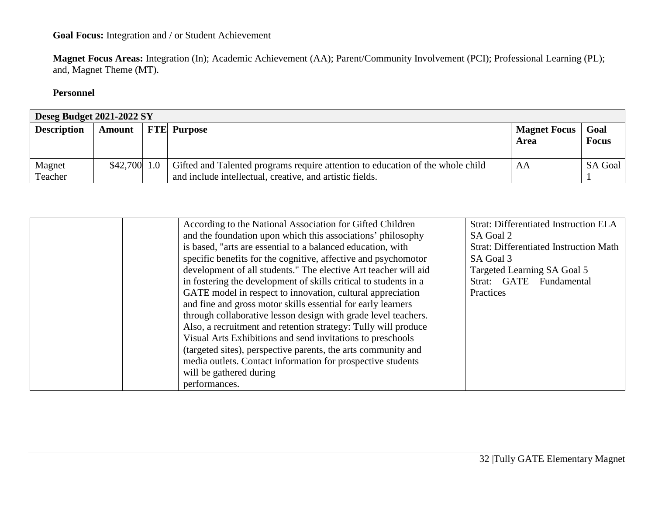## **Goal Focus:** Integration and / or Student Achievement

**Magnet Focus Areas:** Integration (In); Academic Achievement (AA); Parent/Community Involvement (PCI); Professional Learning (PL); and, Magnet Theme (MT).

### **Personnel**

| Deseg Budget 2021-2022 SY |                 |  |                                                                                                                                            |                             |                      |  |  |  |
|---------------------------|-----------------|--|--------------------------------------------------------------------------------------------------------------------------------------------|-----------------------------|----------------------|--|--|--|
| <b>Description</b>        | Amount          |  | <b>FTE</b> Purpose                                                                                                                         | <b>Magnet Focus</b><br>Area | Goal<br><b>Focus</b> |  |  |  |
| Magnet<br>Teacher         | $$42,700$   1.0 |  | Gifted and Talented programs require attention to education of the whole child<br>and include intellectual, creative, and artistic fields. | AA                          | SA Goal              |  |  |  |

| According to the National Association for Gifted Children        | <b>Strat: Differentiated Instruction ELA</b>  |
|------------------------------------------------------------------|-----------------------------------------------|
| and the foundation upon which this associations' philosophy      | SA Goal 2                                     |
| is based, "arts are essential to a balanced education, with      | <b>Strat: Differentiated Instruction Math</b> |
| specific benefits for the cognitive, affective and psychomotor   | SA Goal 3                                     |
| development of all students." The elective Art teacher will aid  | Targeted Learning SA Goal 5                   |
| in fostering the development of skills critical to students in a | Strat: GATE Fundamental                       |
| GATE model in respect to innovation, cultural appreciation       | Practices                                     |
| and fine and gross motor skills essential for early learners     |                                               |
| through collaborative lesson design with grade level teachers.   |                                               |
| Also, a recruitment and retention strategy: Tully will produce   |                                               |
| Visual Arts Exhibitions and send invitations to preschools       |                                               |
| (targeted sites), perspective parents, the arts community and    |                                               |
| media outlets. Contact information for prospective students      |                                               |
| will be gathered during                                          |                                               |
| performances.                                                    |                                               |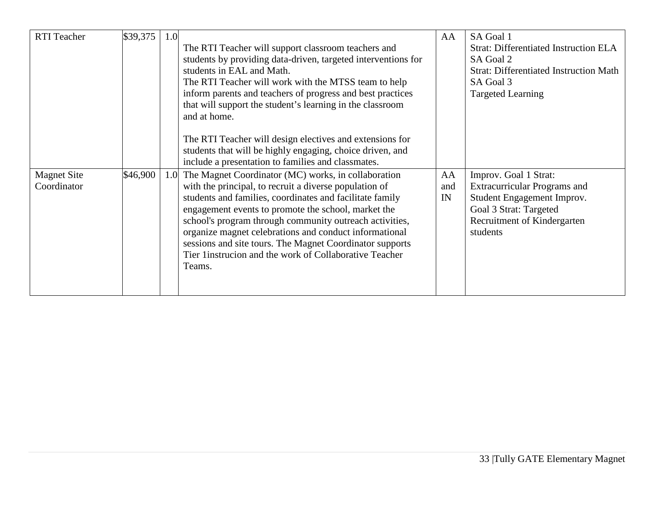| <b>RTI</b> Teacher | \$39,375 | 1.0 |                                                               | AA  | SA Goal 1                                     |
|--------------------|----------|-----|---------------------------------------------------------------|-----|-----------------------------------------------|
|                    |          |     | The RTI Teacher will support classroom teachers and           |     | <b>Strat: Differentiated Instruction ELA</b>  |
|                    |          |     | students by providing data-driven, targeted interventions for |     | SA Goal 2                                     |
|                    |          |     | students in EAL and Math.                                     |     | <b>Strat: Differentiated Instruction Math</b> |
|                    |          |     | The RTI Teacher will work with the MTSS team to help          |     | SA Goal 3                                     |
|                    |          |     | inform parents and teachers of progress and best practices    |     | <b>Targeted Learning</b>                      |
|                    |          |     | that will support the student's learning in the classroom     |     |                                               |
|                    |          |     | and at home.                                                  |     |                                               |
|                    |          |     |                                                               |     |                                               |
|                    |          |     | The RTI Teacher will design electives and extensions for      |     |                                               |
|                    |          |     | students that will be highly engaging, choice driven, and     |     |                                               |
|                    |          |     | include a presentation to families and classmates.            |     |                                               |
| <b>Magnet Site</b> | \$46,900 |     | 1.0 The Magnet Coordinator (MC) works, in collaboration       | AA  | Improv. Goal 1 Strat:                         |
| Coordinator        |          |     | with the principal, to recruit a diverse population of        | and | <b>Extracurricular Programs and</b>           |
|                    |          |     | students and families, coordinates and facilitate family      | IN  | Student Engagement Improv.                    |
|                    |          |     | engagement events to promote the school, market the           |     | Goal 3 Strat: Targeted                        |
|                    |          |     | school's program through community outreach activities,       |     | Recruitment of Kindergarten                   |
|                    |          |     | organize magnet celebrations and conduct informational        |     | students                                      |
|                    |          |     | sessions and site tours. The Magnet Coordinator supports      |     |                                               |
|                    |          |     | Tier 1 instrucion and the work of Collaborative Teacher       |     |                                               |
|                    |          |     | Teams.                                                        |     |                                               |
|                    |          |     |                                                               |     |                                               |
|                    |          |     |                                                               |     |                                               |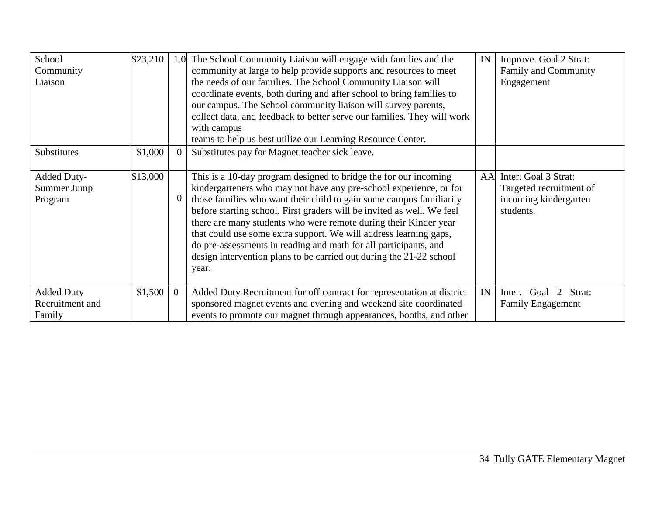| School            | \$23,210 | 1.0            | The School Community Liaison will engage with families and the          | IN | Improve. Goal 2 Strat:     |
|-------------------|----------|----------------|-------------------------------------------------------------------------|----|----------------------------|
| Community         |          |                | community at large to help provide supports and resources to meet       |    | Family and Community       |
| Liaison           |          |                | the needs of our families. The School Community Liaison will            |    | Engagement                 |
|                   |          |                | coordinate events, both during and after school to bring families to    |    |                            |
|                   |          |                | our campus. The School community liaison will survey parents,           |    |                            |
|                   |          |                | collect data, and feedback to better serve our families. They will work |    |                            |
|                   |          |                | with campus                                                             |    |                            |
|                   |          |                | teams to help us best utilize our Learning Resource Center.             |    |                            |
| Substitutes       | \$1,000  |                | Substitutes pay for Magnet teacher sick leave.                          |    |                            |
|                   |          |                |                                                                         |    |                            |
| Added Duty-       | \$13,000 |                | This is a 10-day program designed to bridge the for our incoming        | AA | Inter. Goal 3 Strat:       |
| Summer Jump       |          |                | kindergarteners who may not have any pre-school experience, or for      |    | Targeted recruitment of    |
| Program           |          |                | those families who want their child to gain some campus familiarity     |    | incoming kindergarten      |
|                   |          |                | before starting school. First graders will be invited as well. We feel  |    | students.                  |
|                   |          |                | there are many students who were remote during their Kinder year        |    |                            |
|                   |          |                | that could use some extra support. We will address learning gaps,       |    |                            |
|                   |          |                | do pre-assessments in reading and math for all participants, and        |    |                            |
|                   |          |                | design intervention plans to be carried out during the 21-22 school     |    |                            |
|                   |          |                | year.                                                                   |    |                            |
|                   |          |                |                                                                         |    |                            |
| <b>Added Duty</b> | \$1,500  | $\overline{0}$ | Added Duty Recruitment for off contract for representation at district  | IN | 2 Strat:<br>Goal<br>Inter. |
| Recruitment and   |          |                | sponsored magnet events and evening and weekend site coordinated        |    | <b>Family Engagement</b>   |
| Family            |          |                | events to promote our magnet through appearances, booths, and other     |    |                            |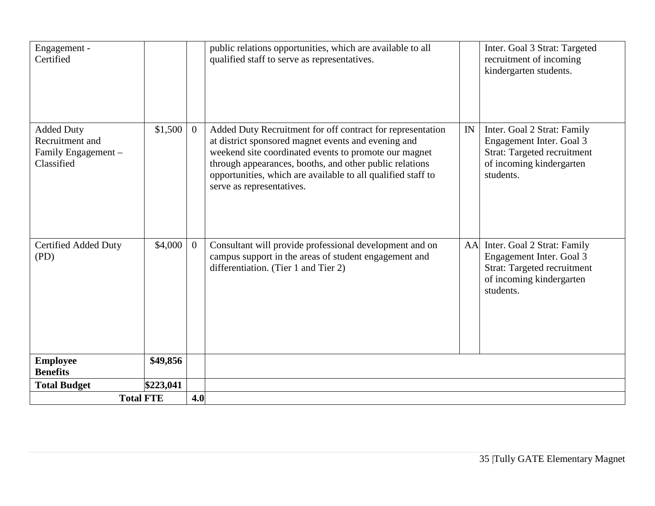| Engagement -<br>Certified                                                 |           |                | public relations opportunities, which are available to all<br>qualified staff to serve as representatives.                                                                                                                                                                                                                         |    | Inter. Goal 3 Strat: Targeted<br>recruitment of incoming<br>kindergarten students.                                                     |
|---------------------------------------------------------------------------|-----------|----------------|------------------------------------------------------------------------------------------------------------------------------------------------------------------------------------------------------------------------------------------------------------------------------------------------------------------------------------|----|----------------------------------------------------------------------------------------------------------------------------------------|
| <b>Added Duty</b><br>Recruitment and<br>Family Engagement -<br>Classified | \$1,500   |                | Added Duty Recruitment for off contract for representation<br>at district sponsored magnet events and evening and<br>weekend site coordinated events to promote our magnet<br>through appearances, booths, and other public relations<br>opportunities, which are available to all qualified staff to<br>serve as representatives. | IN | Inter. Goal 2 Strat: Family<br>Engagement Inter. Goal 3<br><b>Strat: Targeted recruitment</b><br>of incoming kindergarten<br>students. |
| <b>Certified Added Duty</b><br>(PD)                                       | \$4,000   | $\overline{0}$ | Consultant will provide professional development and on<br>campus support in the areas of student engagement and<br>differentiation. (Tier 1 and Tier 2)                                                                                                                                                                           | AA | Inter. Goal 2 Strat: Family<br>Engagement Inter. Goal 3<br><b>Strat: Targeted recruitment</b><br>of incoming kindergarten<br>students. |
| <b>Employee</b><br><b>Benefits</b>                                        | \$49,856  |                |                                                                                                                                                                                                                                                                                                                                    |    |                                                                                                                                        |
| <b>Total Budget</b>                                                       | \$223,041 |                |                                                                                                                                                                                                                                                                                                                                    |    |                                                                                                                                        |
| <b>Total FTE</b>                                                          |           |                | 4.0                                                                                                                                                                                                                                                                                                                                |    |                                                                                                                                        |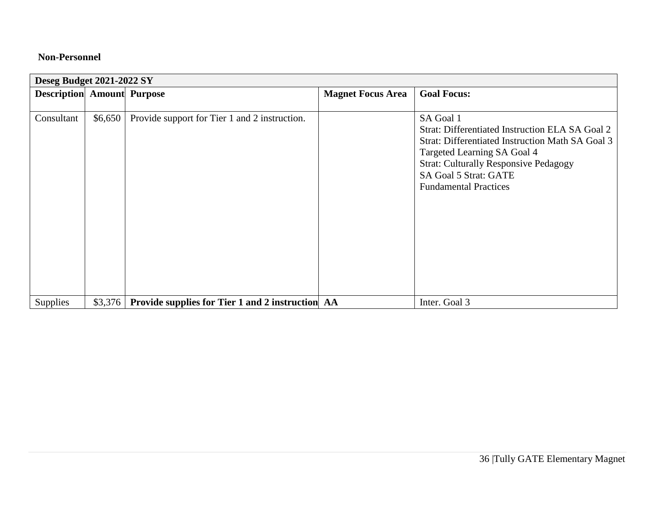### **Non-Personnel**

| Deseg Budget 2021-2022 SY         |         |                                                         |                          |                                                                                                                                                                                                                                                                 |  |  |  |  |  |
|-----------------------------------|---------|---------------------------------------------------------|--------------------------|-----------------------------------------------------------------------------------------------------------------------------------------------------------------------------------------------------------------------------------------------------------------|--|--|--|--|--|
| <b>Description Amount Purpose</b> |         |                                                         | <b>Magnet Focus Area</b> | <b>Goal Focus:</b>                                                                                                                                                                                                                                              |  |  |  |  |  |
|                                   |         |                                                         |                          |                                                                                                                                                                                                                                                                 |  |  |  |  |  |
| Consultant                        | \$6,650 | Provide support for Tier 1 and 2 instruction.           |                          | SA Goal 1<br>Strat: Differentiated Instruction ELA SA Goal 2<br><b>Strat: Differentiated Instruction Math SA Goal 3</b><br>Targeted Learning SA Goal 4<br><b>Strat: Culturally Responsive Pedagogy</b><br>SA Goal 5 Strat: GATE<br><b>Fundamental Practices</b> |  |  |  |  |  |
| Supplies                          | \$3,376 | <b>Provide supplies for Tier 1 and 2 instruction AA</b> |                          | Inter. Goal 3                                                                                                                                                                                                                                                   |  |  |  |  |  |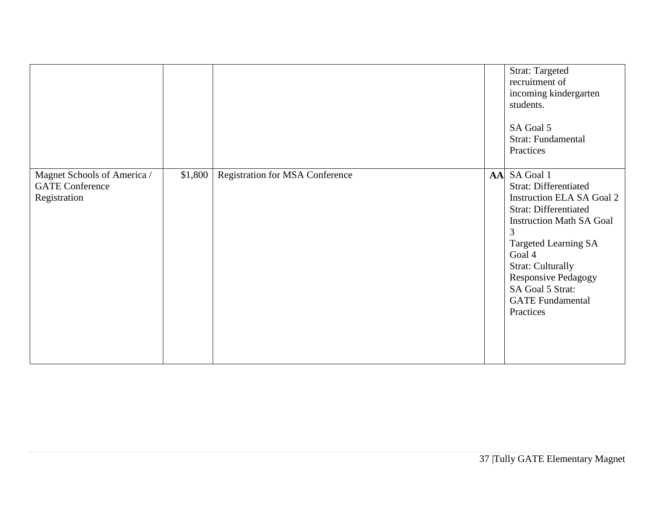|                                                                       |         |                                 |    | <b>Strat: Targeted</b><br>recruitment of<br>incoming kindergarten<br>students.<br>SA Goal 5<br><b>Strat: Fundamental</b><br>Practices                                                                                                                                                                                |
|-----------------------------------------------------------------------|---------|---------------------------------|----|----------------------------------------------------------------------------------------------------------------------------------------------------------------------------------------------------------------------------------------------------------------------------------------------------------------------|
| Magnet Schools of America /<br><b>GATE Conference</b><br>Registration | \$1,800 | Registration for MSA Conference | AA | SA Goal 1<br><b>Strat: Differentiated</b><br><b>Instruction ELA SA Goal 2</b><br><b>Strat: Differentiated</b><br><b>Instruction Math SA Goal</b><br>3<br><b>Targeted Learning SA</b><br>Goal 4<br><b>Strat: Culturally</b><br><b>Responsive Pedagogy</b><br>SA Goal 5 Strat:<br><b>GATE</b> Fundamental<br>Practices |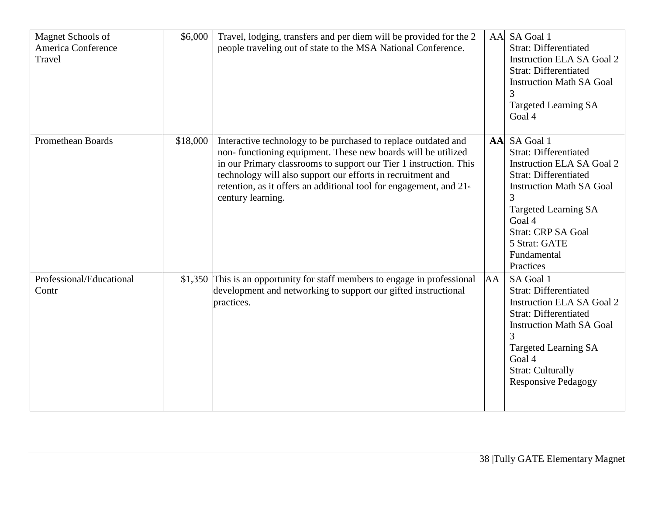| Magnet Schools of<br>America Conference<br>Travel | \$6,000  | Travel, lodging, transfers and per diem will be provided for the 2<br>people traveling out of state to the MSA National Conference.                                                                                                                                                                                                                                        | AA | SA Goal 1<br><b>Strat: Differentiated</b><br><b>Instruction ELA SA Goal 2</b><br><b>Strat: Differentiated</b><br><b>Instruction Math SA Goal</b><br>3<br><b>Targeted Learning SA</b><br>Goal 4                                                                              |
|---------------------------------------------------|----------|----------------------------------------------------------------------------------------------------------------------------------------------------------------------------------------------------------------------------------------------------------------------------------------------------------------------------------------------------------------------------|----|-----------------------------------------------------------------------------------------------------------------------------------------------------------------------------------------------------------------------------------------------------------------------------|
| <b>Promethean Boards</b>                          | \$18,000 | Interactive technology to be purchased to replace outdated and<br>non-functioning equipment. These new boards will be utilized<br>in our Primary classrooms to support our Tier 1 instruction. This<br>technology will also support our efforts in recruitment and<br>retention, as it offers an additional tool for engagement, and 21 <sup>st</sup><br>century learning. |    | AA SA Goal 1<br><b>Strat: Differentiated</b><br><b>Instruction ELA SA Goal 2</b><br><b>Strat: Differentiated</b><br><b>Instruction Math SA Goal</b><br>3<br><b>Targeted Learning SA</b><br>Goal 4<br><b>Strat: CRP SA Goal</b><br>5 Strat: GATE<br>Fundamental<br>Practices |
| Professional/Educational<br>Contr                 |          | \$1,350 This is an opportunity for staff members to engage in professional<br>development and networking to support our gifted instructional<br>practices.                                                                                                                                                                                                                 | AA | SA Goal 1<br><b>Strat: Differentiated</b><br><b>Instruction ELA SA Goal 2</b><br><b>Strat: Differentiated</b><br><b>Instruction Math SA Goal</b><br>3<br><b>Targeted Learning SA</b><br>Goal 4<br><b>Strat: Culturally</b><br><b>Responsive Pedagogy</b>                    |